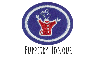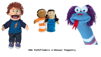

**SDA Pathfinders e-Honour Puppetry**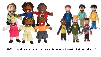

**Hello Pathfinders, are you ready to make a Puppet? Let us make it!**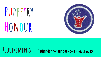# **Puppetry Honour**



## REQUIREMENTS Pathfinder honour book 2014 revision. Page 460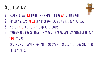## **Requirements**



- **1. Make at least one puppet, and make or buy twoother puppets.**
- **2. Develop at least three puppet characters with their own voices.**
- **3. Write three two-to-three minute scripts.**
- **4. Perform for any audience (not family or immediate friends) at least three times.**
- **5. Obtain an assessment of each performance by someone not related to the puppeteer.**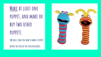**Make at least one puppet, and make or buy two other puppets. (We will teach you how to make a Puppet before the end of this presentation).**

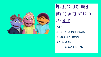

## **Develop at least three puppet characters with their own voices.**

**Examples:** 

**.**

**King Saul, David and his friend Jonathan.**

**Three animals met at the Noah Ark.**

**Naomi. Ruth and Boaz.**

**You and two imaginary or real friends.**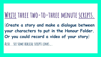## **Write three two-to-three minute scripts.**

**(Create a story and make a dialogue between your characters to put in the Honour Folder. Or you could record a video of your story) Also...see some biblical scripts links….**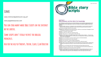**BIBLE STORY SCRIPTS** 

#### **Links**"

www.richmondparkchurch.org.uk"

[www.puppetresources.com](https://www.puppetresources.com/index.php?what=simplesearch&type=3&searchterms=Bible+Stories)

**You can find many more Bible Scripts on the internet but be careful.** 

#### **Some scripts don't totally respect the biblical principles.**

**Ask for the help of Parents, Pastor, Elder, Club Director**



#### **Experiment 1** King Solomon and the thirst for knowledge

This retelling is performed by one of the Professors and someone playing the part of King Solomon, Encourage them to learn the script and rehearse together before the session.

Professor: Right, everyone, I'm looking for a new Lab Assistant, I've put an advert online and I hope we'll have some good applicants. In fact, the first one should be here any moment.

King Solomon (a leader wearing a crown) enters.

Professor: Ah, here they are now! (Looks at crown.) That's an unusual piece of headgear to wear in a laboratory. Why are you wearing a crown?

Solomon: I'm Solomon, King of Israel.

Professor: Israel, eh? I didn't know Israel had a king.

Solomon: Well, not now. I was king about 3,000 years ago.

Professor: What? Have you travelled through time? I wonder if that's possible... I'll have to ask Doctor Who or Professor Brian Cox. Anyway, that's not important now. Have you come to apply for the role of Lab Assistant?

Solomon: Er, no. Not really, I've come to share my story with all the Scientists.

Professor: Are you sure you don't want a new job?

Solomon: No. you're OK. I've got my plate full being king.

Professor: Fair point. I imagine you must be quite busy. So, what's your story?

Solomon: Well, my dad was called David. He was a great king, but when he died, I became king. I wanted to be as good as my dad, so I tried to live the way God wanted me to as much as I could.

Professor: Oh, so you follow God? We're discovering more about following God too!

Solomon: That's why I'm here! You see, I was worshipping God one day when he spoke to me.

Professor: He spoke to you? How did you know it was him?

Solomon: I could hear him! He came to me in a dream. I've been following God all my life. I've always tested whether God was really speaking to me by following his instructions, and it always worked out for good! The more I followed him, the more I got to know his voice.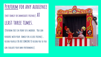### **Perform for any audience**

(NOT FAMILY OR IMMEDIATE FRIENDS)  $A\mathsf{T}$ 

#### **least three times.**

**(Perform first in front of a mirror. You can** 

**rehearse with your family or a close friend). record yourself OR ASK SOMEONE TO record you so you** 

**can evaluate your own performance).**

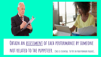



## **Obtain an assessment of each performance by someone not related to the puppeteer. (This is essential. To Put in your Honour folder).**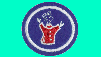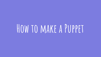# **How to make a Puppet**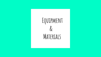# **Equipment & Materials**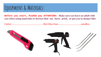### **Equipment & Materials:**

**Before you start, PLEASE pay ATTENTION: Make sure you have an adult with you when using materials or devices that cut, burn, prick, or put you in danger like:** 

Cutter……………………………………..……Hot Glue Gun………………..…………….needles**.**

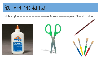## **Equipment and Materials:**

#### **White glue------------------scissors-------pencil---brushes**



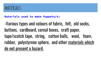**Materials used to make Puppets/s:**

-Various types and colours of fabric, felt, old socks, buttons, cardboard, cereal boxes, craft paper, tape/scotch tape, string, cotton balls, wool, foam, rubber, polystyrene sphere, and other materials which do not present a hazard.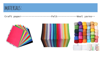#### **Craft paper--------------------Felt-------------Wool yarns--**





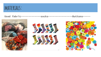#### **Used fabric-------------socks----------------Buttons-----**





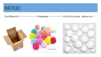#### **Cardboard-------------Pompoms----------Polystyrene spheres--**



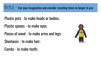**Recycle -** Use your imagination and consider recycling items no longer in use:

Plastic pots - to make heads or bodies;

Plastic spoons - to make eyes;

Pieces of wood - to make arms and legs;

Shoelaces - to make hair;

Combs - to make teeth;

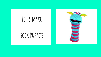## **Let's make**

## **sock Puppets**

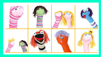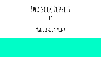# **Two Sock Puppets by**

#### **Manuel & Catarina**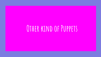# **Other kind of Puppets**